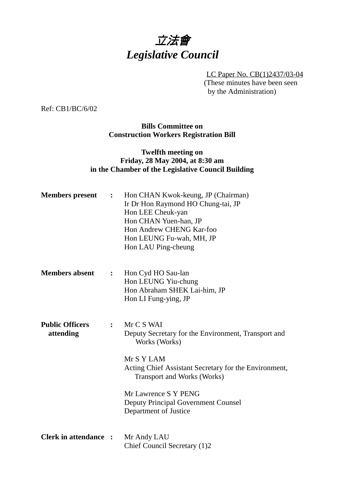# 立法會 *Legislative Council*

LC Paper No. CB(1)2437/03-04 (These minutes have been seen by the Administration)

Ref: CB1/BC/6/02

**Bills Committee on Construction Workers Registration Bill**

### **Twelfth meeting on Friday, 28 May 2004, at 8:30 am in the Chamber of the Legislative Council Building**

| <b>Members</b> present              | $\ddot{\cdot}$ | Hon CHAN Kwok-keung, JP (Chairman)<br>Ir Dr Hon Raymond HO Chung-tai, JP<br>Hon LEE Cheuk-yan<br>Hon CHAN Yuen-han, JP<br>Hon Andrew CHENG Kar-foo<br>Hon LEUNG Fu-wah, MH, JP<br>Hon LAU Ping-cheung                                                                                          |
|-------------------------------------|----------------|------------------------------------------------------------------------------------------------------------------------------------------------------------------------------------------------------------------------------------------------------------------------------------------------|
| <b>Members absent</b>               | $\ddot{\cdot}$ | Hon Cyd HO Sau-lan<br>Hon LEUNG Yiu-chung<br>Hon Abraham SHEK Lai-him, JP<br>Hon LI Fung-ying, JP                                                                                                                                                                                              |
| <b>Public Officers</b><br>attending | $\mathbf{L}$   | Mr C S WAI<br>Deputy Secretary for the Environment, Transport and<br>Works (Works)<br>Mr S Y LAM<br>Acting Chief Assistant Secretary for the Environment,<br><b>Transport and Works (Works)</b><br>Mr Lawrence S Y PENG<br><b>Deputy Principal Government Counsel</b><br>Department of Justice |
| <b>Clerk in attendance:</b>         |                | Mr Andy LAU<br>Chief Council Secretary (1)2                                                                                                                                                                                                                                                    |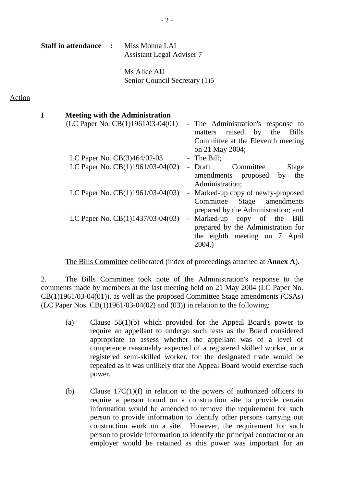**Staff in attendance :** Miss Monna LAI Assistant Legal Adviser 7

#### Action

| <b>Meeting with the Administration</b> |                                                                                |
|----------------------------------------|--------------------------------------------------------------------------------|
| (LC Paper No. CB(1)1961/03-04(01)      | - The Administration's response to<br>raised by the<br><b>Bills</b><br>matters |
|                                        | Committee at the Eleventh meeting                                              |
|                                        | on 21 May 2004;                                                                |
| LC Paper No. CB(3)464/02-03            | - The Bill;                                                                    |
| LC Paper No. CB(1)1961/03-04(02)       | - Draft<br>Committee<br>Stage                                                  |
|                                        | amendments proposed<br>the<br>by<br>Administration;                            |
| LC Paper No. $CB(1)1961/03-04(03)$     | - Marked-up copy of newly-proposed                                             |
|                                        | Committee Stage amendments                                                     |
|                                        | prepared by the Administration; and                                            |
| LC Paper No. $CB(1)1437/03-04(03)$     | Marked-up copy of the<br>Bill<br>$\frac{1}{2}$                                 |
|                                        | prepared by the Administration for                                             |
|                                        | the eighth meeting on 7 April                                                  |
|                                        | 2004.                                                                          |
|                                        |                                                                                |

The Bills Committee deliberated (index of proceedings attached at **Annex A**).

2. The Bills Committee took note of the Administration's response to the comments made by members at the last meeting held on 21 May 2004 (LC Paper No. CB(1)1961/03-04(01)), as well as the proposed Committee Stage amendments (CSAs) (LC Paper Nos.  $CB(1)1961/03-04(02)$  and  $(03)$ ) in relation to the following:

- (a) Clause 58(1)(b) which provided for the Appeal Board's power to require an appellant to undergo such tests as the Board considered appropriate to assess whether the appellant was of a level of competence reasonably expected of a registered skilled worker, or a registered semi-skilled worker, for the designated trade would be repealed as it was unlikely that the Appeal Board would exercise such power.
- (b) Clause 17C(1)(f) in relation to the powers of authorized officers to require a person found on a construction site to provide certain information would be amended to remove the requirement for such person to provide information to identify other persons carrying out construction work on a site. However, the requirement for such person to provide information to identify the principal contractor or an employer would be retained as this power was important for an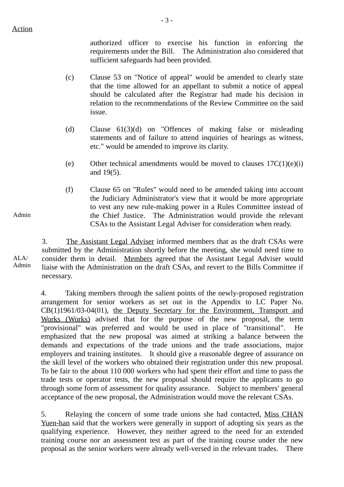authorized officer to exercise his function in enforcing the requirements under the Bill. The Administration also considered that sufficient safeguards had been provided.

(c) Clause 53 on "Notice of appeal" would be amended to clearly state that the time allowed for an appellant to submit a notice of appeal should be calculated after the Registrar had made his decision in relation to the recommendations of the Review Committee on the said issue.

- 3 -

- (d) Clause 61(3)(d) on "Offences of making false or misleading statements and of failure to attend inquiries of hearings as witness, etc." would be amended to improve its clarity.
- (e) Other technical amendments would be moved to clauses  $17C(1)(e)(i)$ and 19(5).
- (f) Clause 65 on "Rules" would need to be amended taking into account the Judiciary Administrator's view that it would be more appropriate to vest any new rule-making power in a Rules Committee instead of the Chief Justice. The Administration would provide the relevant CSAs to the Assistant Legal Adviser for consideration when ready.

3. The Assistant Legal Adviser informed members that as the draft CSAs were submitted by the Administration shortly before the meeting, she would need time to consider them in detail. Members agreed that the Assistant Legal Adviser would liaise with the Administration on the draft CSAs, and revert to the Bills Committee if necessary.

4. Taking members through the salient points of the newly-proposed registration arrangement for senior workers as set out in the Appendix to LC Paper No. CB(1)1961/03-04(01), the Deputy Secretary for the Environment, Transport and Works (Works) advised that for the purpose of the new proposal, the term "provisional" was preferred and would be used in place of "transitional". He emphasized that the new proposal was aimed at striking a balance between the demands and expectations of the trade unions and the trade associations, major employers and training institutes. It should give a reasonable degree of assurance on the skill level of the workers who obtained their registration under this new proposal. To be fair to the about 110 000 workers who had spent their effort and time to pass the trade tests or operator tests, the new proposal should require the applicants to go through some form of assessment for quality assurance. Subject to members' general acceptance of the new proposal, the Administration would move the relevant CSAs.

5. Relaying the concern of some trade unions she had contacted, Miss CHAN Yuen-han said that the workers were generally in support of adopting six years as the qualifying experience. However, they neither agreed to the need for an extended training course nor an assessment test as part of the training course under the new proposal as the senior workers were already well-versed in the relevant trades. There

Admin

ALA/ Admin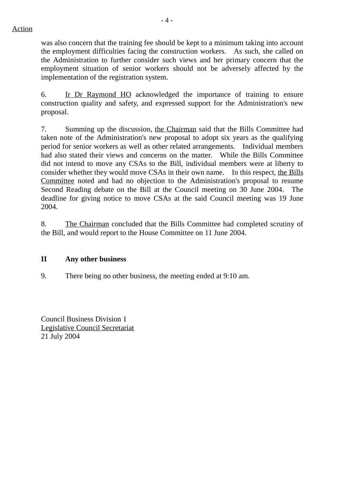Action

 $-4-$ 

was also concern that the training fee should be kept to a minimum taking into account the employment difficulties facing the construction workers. As such, she called on the Administration to further consider such views and her primary concern that the employment situation of senior workers should not be adversely affected by the implementation of the registration system.

6. Ir Dr Raymond HO acknowledged the importance of training to ensure construction quality and safety, and expressed support for the Administration's new proposal.

7. Summing up the discussion, the Chairman said that the Bills Committee had taken note of the Administration's new proposal to adopt six years as the qualifying period for senior workers as well as other related arrangements. Individual members had also stated their views and concerns on the matter. While the Bills Committee did not intend to move any CSAs to the Bill, individual members were at liberty to consider whether they would move CSAs in their own name. In this respect, the Bills Committee noted and had no objection to the Administration's proposal to resume Second Reading debate on the Bill at the Council meeting on 30 June 2004. The deadline for giving notice to move CSAs at the said Council meeting was 19 June 2004.

8. The Chairman concluded that the Bills Committee had completed scrutiny of the Bill, and would report to the House Committee on 11 June 2004.

## **II Any other business**

9. There being no other business, the meeting ended at 9:10 am.

Council Business Division 1 Legislative Council Secretariat 21 July 2004